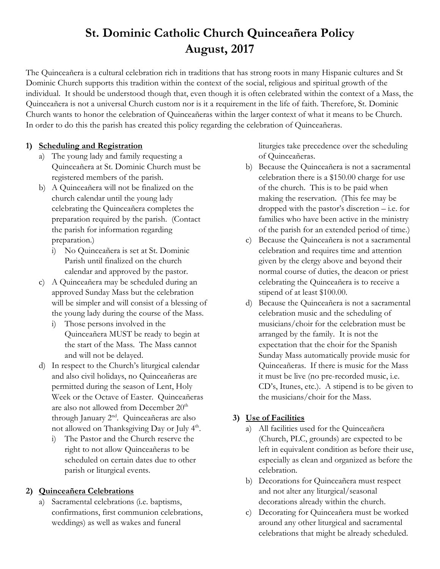## **St. Dominic Catholic Church Quinceañera Policy August, 2017**

The Quinceañera is a cultural celebration rich in traditions that has strong roots in many Hispanic cultures and St Dominic Church supports this tradition within the context of the social, religious and spiritual growth of the individual. It should be understood though that, even though it is often celebrated within the context of a Mass, the Quinceañera is not a universal Church custom nor is it a requirement in the life of faith. Therefore, St. Dominic Church wants to honor the celebration of Quinceañeras within the larger context of what it means to be Church. In order to do this the parish has created this policy regarding the celebration of Quinceañeras.

## **1) Scheduling and Registration**

- a) The young lady and family requesting a Quinceañera at St. Dominic Church must be registered members of the parish.
- b) A Quinceañera will not be finalized on the church calendar until the young lady celebrating the Quinceañera completes the preparation required by the parish. (Contact the parish for information regarding preparation.)
	- i) No Quinceañera is set at St. Dominic Parish until finalized on the church calendar and approved by the pastor.
- c) A Quinceañera may be scheduled during an approved Sunday Mass but the celebration will be simpler and will consist of a blessing of the young lady during the course of the Mass.
	- i) Those persons involved in the Quinceañera MUST be ready to begin at the start of the Mass. The Mass cannot and will not be delayed.
- d) In respect to the Church's liturgical calendar and also civil holidays, no Quinceañeras are permitted during the season of Lent, Holy Week or the Octave of Easter. Quinceañeras are also not allowed from December 20<sup>th</sup> through January 2nd. Quinceañeras are also not allowed on Thanksgiving Day or July 4<sup>th</sup>.
	- i) The Pastor and the Church reserve the right to not allow Quinceañeras to be scheduled on certain dates due to other parish or liturgical events.

## **2) Quinceañera Celebrations**

a) Sacramental celebrations (i.e. baptisms, confirmations, first communion celebrations, weddings) as well as wakes and funeral

liturgies take precedence over the scheduling of Quinceañeras.

- b) Because the Quinceañera is not a sacramental celebration there is a \$150.00 charge for use of the church. This is to be paid when making the reservation. (This fee may be dropped with the pastor's discretion – i.e. for families who have been active in the ministry of the parish for an extended period of time.)
- c) Because the Quinceañera is not a sacramental celebration and requires time and attention given by the clergy above and beyond their normal course of duties, the deacon or priest celebrating the Quinceañera is to receive a stipend of at least \$100.00.
- d) Because the Quinceañera is not a sacramental celebration music and the scheduling of musicians/choir for the celebration must be arranged by the family. It is not the expectation that the choir for the Spanish Sunday Mass automatically provide music for Quinceañeras. If there is music for the Mass it must be live (no pre-recorded music, i.e. CD's, Itunes, etc.). A stipend is to be given to the musicians/choir for the Mass.

## **3) Use of Facilities**

- a) All facilities used for the Quinceañera (Church, PLC, grounds) are expected to be left in equivalent condition as before their use, especially as clean and organized as before the celebration.
- b) Decorations for Quinceañera must respect and not alter any liturgical/seasonal decorations already within the church.
- c) Decorating for Quinceañera must be worked around any other liturgical and sacramental celebrations that might be already scheduled.